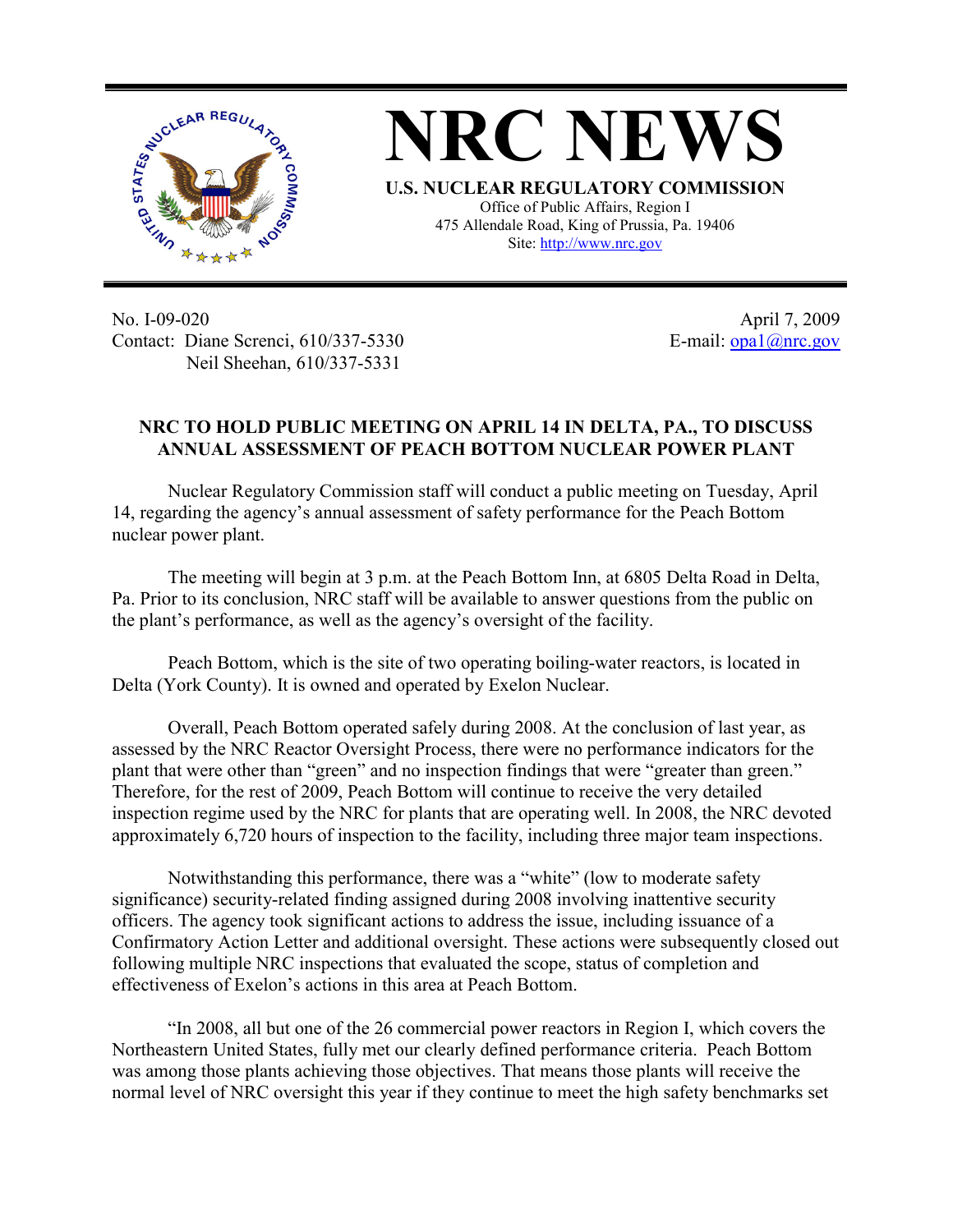

**NRC NEWS U.S. NUCLEAR REGULATORY COMMISSION** Office of Public Affairs, Region I 475 Allendale Road, King of Prussia, Pa. 19406

Site: http://www.nrc.gov

No. I-09-020 Contact: Diane Screnci, 610/337-5330 Neil Sheehan, 610/337-5331

April 7, 2009 E-mail:  $\frac{opa1}{@nrc.gov}$ 

## **NRC TO HOLD PUBLIC MEETING ON APRIL 14 IN DELTA, PA., TO DISCUSS ANNUAL ASSESSMENT OF PEACH BOTTOM NUCLEAR POWER PLANT**

Nuclear Regulatory Commission staff will conduct a public meeting on Tuesday, April 14, regarding the agency's annual assessment of safety performance for the Peach Bottom nuclear power plant.

The meeting will begin at 3 p.m. at the Peach Bottom Inn, at 6805 Delta Road in Delta, Pa. Prior to its conclusion, NRC staff will be available to answer questions from the public on the plant's performance, as well as the agency's oversight of the facility.

Peach Bottom, which is the site of two operating boiling-water reactors, is located in Delta (York County). It is owned and operated by Exelon Nuclear.

Overall, Peach Bottom operated safely during 2008. At the conclusion of last year, as assessed by the NRC Reactor Oversight Process, there were no performance indicators for the plant that were other than "green" and no inspection findings that were "greater than green." Therefore, for the rest of 2009, Peach Bottom will continue to receive the very detailed inspection regime used by the NRC for plants that are operating well. In 2008, the NRC devoted approximately 6,720 hours of inspection to the facility, including three major team inspections.

Notwithstanding this performance, there was a "white" (low to moderate safety significance) security-related finding assigned during 2008 involving inattentive security officers. The agency took significant actions to address the issue, including issuance of a Confirmatory Action Letter and additional oversight. These actions were subsequently closed out following multiple NRC inspections that evaluated the scope, status of completion and effectiveness of Exelon's actions in this area at Peach Bottom.

"In 2008, all but one of the 26 commercial power reactors in Region I, which covers the Northeastern United States, fully met our clearly defined performance criteria. Peach Bottom was among those plants achieving those objectives. That means those plants will receive the normal level of NRC oversight this year if they continue to meet the high safety benchmarks set